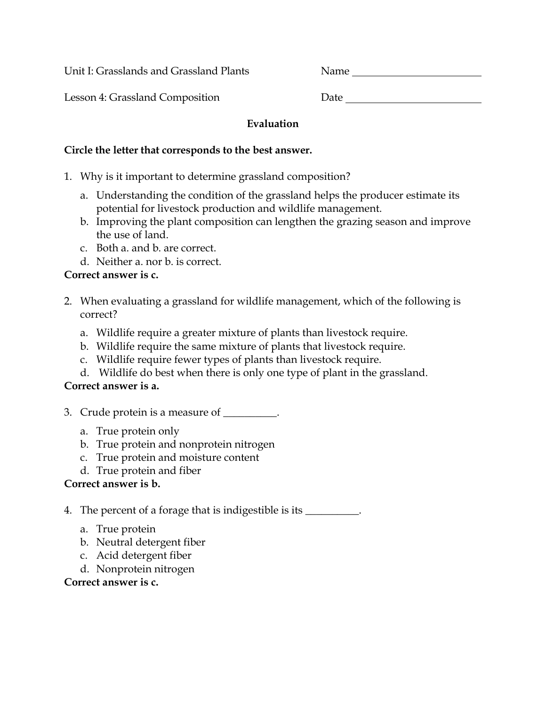Unit I: Grasslands and Grassland Plants

Lesson 4: Grassland Composition D

| ate |  |  |  |
|-----|--|--|--|
|     |  |  |  |

## **Evaluation**

#### **Circle the letter that corresponds to the best answer.**

- 1. Why is it important to determine grassland composition?
	- a. Understanding the condition of the grassland helps the producer estimate its potential for livestock production and wildlife management.
	- b. Improving the plant composition can lengthen the grazing season and improve the use of land.
	- c. Both a. and b. are correct.
	- d. Neither a. nor b. is correct.

## **Correct answer is c.**

- 2. When evaluating a grassland for wildlife management, which of the following is correct?
	- a. Wildlife require a greater mixture of plants than livestock require.
	- b. Wildlife require the same mixture of plants that livestock require.
	- c. Wildlife require fewer types of plants than livestock require.
	- d. Wildlife do best when there is only one type of plant in the grassland.

## **Correct answer is a.**

- 3. Crude protein is a measure of \_\_\_\_\_\_\_\_\_.
	- a. True protein only
	- b. True protein and nonprotein nitrogen
	- c. True protein and moisture content
	- d. True protein and fiber

## **Correct answer is b.**

- 4. The percent of a forage that is indigestible is its \_\_\_\_\_\_\_\_\_.
	- a. True protein
	- b. Neutral detergent fiber
	- c. Acid detergent fiber
	- d. Nonprotein nitrogen

## **Correct answer is c.**